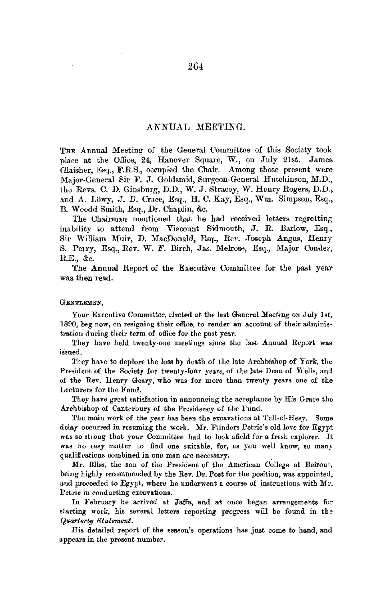# ANNUAL MEETING.

THE Annual Meeting of the General Committee of this Society took place at the Office, 24, Hanover Square, W., on July 21st. James Glaisher, Esq., F.R.S., occupied the Chair. Among those present were Major-General Sir F. J. Goldsmid, Surgeon-General Hutchinson, M.D., the Revs. C. D. Ginsburg, D.D., W. J. Stracey, W. Henry Rogers, D.D., and A. Lowy, J. D. Crace, Esq., H. C. Kay, Esq., Wm. Simpson, Esq., B. Woodd Smith, Esq., Dr. Chaplin, &c.

The Chairman mentioned that he had received letters regretting inability to attend from Viscount Sidmouth, J. R. Barlow, Esq., Sir William Muir, D. MacDonald, Esq., Rev. Joseph Angus, Henry S. Perry, Esq., Rev. W. F. Birch, Jas. Melrose, Esq., Major Conder, R.E., &c.

The Annual Report of the Executive Committee for the past year was then read.

#### GENTLEMEN,

Your Executive Committee, elected at the last General Meeting on July 1st, 1890, beg now, on resigning their office, to render an account of their administration during their term of office for the past year.

They have held twenty-one meetings since the last Annual Report was issued.

They have to deplore the loss by death of the late Archbishop of York, the President of the Society for twenty-four years, of the late Dean of Wells, and of the Rey. Henry Geary, who was for more than twenty years one of the Lecturers for the Fund.

They have great satisfaction in announcing the acceptance by His Grace the Archbishop of Canterbury of the Presidency of the Fund.

The main work of the year has been the excavations at Tell-el-Hesy. Some delay occurred in resuming the work. Mr. Flinders Petrie's old love for Egypt. was so strong that your Committee had to look afield for a fresh explorer. Jt was no easy matter to find one suitable, for, as you well know, so many qualifications combined in one man are necessary. .

Mr. Bliss, the son of the President of the American College at Beirout, being highly recommended by the Rev. Dr. Poat for the position, was appointed, and proceeded to Egypt, where he underwent a course of instructions with Mr. Petrie in conducting excavations.

Jn February he arrived at Jaffa, and at once began arrangements for starting work, his several letters reporting progress will be found in the *Quarterly Statement.* 

His detailed report of the season's operations has just come to hand, and appears in the present number.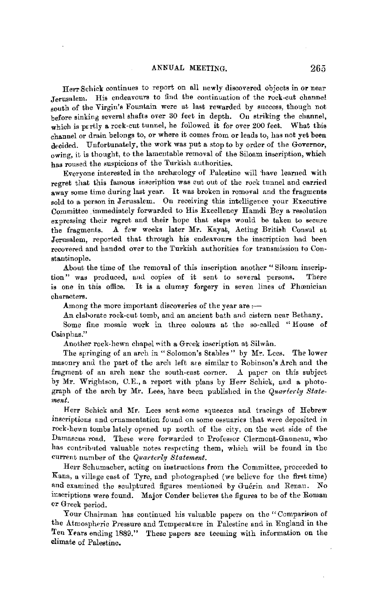Herr Schick continues to report on all newly discovered objects in or near Jerusalem. His endeavours to find the continuation of the rock-cut channel south of the Virgin's Fountain were at last rewarded by success, though not before sinking several shafts over 30 feet in depth. Ou striking the channel, which is partly a rock-cut tunnel, he followed it for over 200 feet. What this channel or drain belongs to, or where it comes from or leads to, has not yet been decided. Unfortunately, the work was put a stop to by order of the Governor, owing, it is thought, to the lameutable removal of the Siloam inscription, which has roused the suspicions of the Turkish authorities.

Everyone interested in the archaeology of Palestine will have learned with regret that this famous inscription was cut out of the rock tunnel and carried away some time during last year. It was broken in removal and the fragments sold to a person in Jerusalem. On receiving this intelligence your Executive Committee immediately forwarded to His Excellency Ilamdi Bey a resolution expressing their regret and their hope that steps would be taken to secure the fragments. A few weeks later Mr. Kayat, Acting British Consul at Jerusalem, reported that through his endeavours the inscription had been recovered and handed over to the Turkish authorities for transmission to Constantinople.

About the time of the removal of this inscription another "Siloam inscription" was produced, and copies of it sent to several persons. There is one in this office. It is a clumsy forgery in seven lines of Phœnician characters.

Among the more important discoveries of the year are  $:$ 

An elaborate rock-cut tomb, and an ancient bath and cistern near Bethany.

Some fine mosaic work in three colours at the so-called "House of Caiaphas."

Another rock-hewn chapel with a Greek inscription at Silwân.

The springing of an arch in "Solomon's Stables" by Mr. Lees. The lower masonry and the part of the arch left are similar to Robinson's Arch and the fragment of an arch near the south-east corner.  $\Lambda$  paper on this subject by Mr. Wrightson, C.E., a report with plans by Herr Schick, and a photograph of the arch by Mr. Lees, have been published in the *Quarterly Statement.* 

Herr Schick and Mr. Lees sent some squeezes and tracings of Hebrew inscriptions and ornamentation found on some ossuaries that were deposited in rock-hewn tombs lately opened up north of the city, on the west side of the Damascus road. These were forwarded to Professor Clermont-Ganneau, who has contributed valuable notes respecting them, which will be found in the current number of the *Quarterly Statement.* 

Herr Schumacher, acting on instructions from the Committee, proceeded to Kana, a village east of Tyre, and photographed (we believe for the first time) and examined the sculptured figures mentioned by Guérin and Renan. No inscriptions were found. Major Conder believes the figures to be of the Roman or Greek period.

Your Chairman has continued his valuable papers on the" Comparison of the Atmospheric Pressure and Temperature in Palestine end in England in the Ten Years ending 1889." These papers are teeming with information on the climate of Palestine.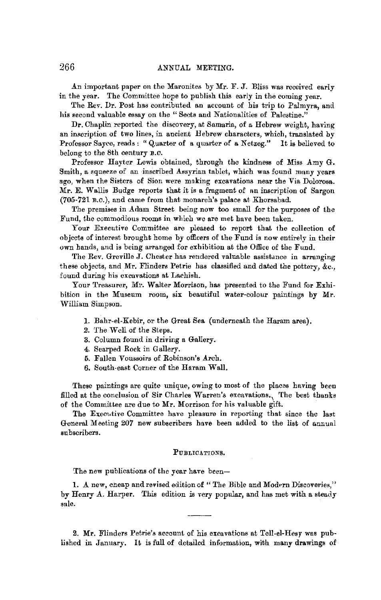An important paper on the Maronites by Mr. F. J. Bliss was received early in the year. The Committee hope to publish this early in the coming year.

The Rev. Dr. Post has contributed an account of his trip to Palmyra, and his second valuable essay on the "Sects and Nationalities of Palestine."

Dr. Chaplin reported the discovery, at Samaria, of a Hebrew weight, having an inscription of two lines, in ancient Hebrew characters, which, translated by Professor Sayce, reads: "Quarter of a quarter of a Netzeg." It is believed to belong to the 8th century B.C.

Professor Hayter Lewis obtained, through the kindness of Miss Amy G. Smith, a squeeze of an inscribed Assyrian tablet, which was found many years ago, when the Sisters of Sion were mnking excavations near the Via Dolorosa. Mr. E. Wallis Budge reports that it is a fragment of an inscription of Sargon (705-721 B.o.), and came from that monarch's palace at Khorsabad.

The premises in Adam Street being now too small for the purposes of the Fund, the commodious rooms in which we are met have been taken.

Your Executive Committee are pleased to report that the collection of objects of interest brought home by officers of the Fund is now entirely in their own hands, and is being arranged for exhibition at the Office of the Fund.

The Rev. Greville J. Chester has rendered valuable assistance in arranging these objects, and Mr. Flinders Petrie has classified and dated the pottery,  $&c$ . found during his excavations at Lachish.

Your Treasurer, Mr. Walter Morrison, has presented to the Fund for Exhibition in the Museum room, six beautiful water-colour paintings by **Mr.**  William Simpson.

- 1. Bahr-el-Kebir, or the Great Sea (underneath the Haram area).
- *2.* The Well of the Steps.
- 3. Column found in driving a Gallery.
- 4. Scarped Rock in Gallery.
- 5. Fallen Voussoirs of Robinson's Arch.
- 6. South-east Corner of the Haram Wall.

These paintings are quite unique, owing to most of the places having been filled at the conclusion of Sir Charles Warren's excavations., 'The best thanks of the Committee are due to **Mr.** Morrison for his valuable gift.

The Executive Committee have pleasure in reporting that since the last General Meeting 207 new subscribers have been added to the list of annual subscribers.

#### PUBLICATIONS.

The new publications of the year have been-

1. A new, cheap and revised edition of "The Bible and Modern Discoveries," by Henry A. Harper. This edition is very popular, and has met with a steady sale.

**2. Mr.** Flinders Petrie's account of his excavations at Tell-el-Hesy was published in January. It is full of detailed information, with many drawings of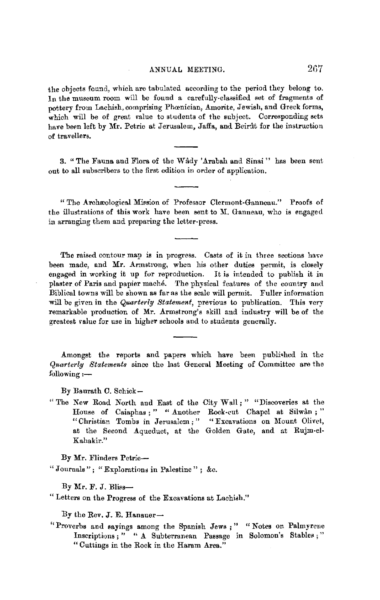the objects found, which are tabulated according to the period they belong to. In the museum room will be found a carefully-classified set of fragments of pottery from Lachish, comprising Phoenician, Amorite, Jewish, and Greek forms, which will be of great value to students of the subject. Corresponding sets have been left by Mr. Petrie at Jerusalem, Jaffa, and Beirat for the instruction of travellers,

3. "The Fauna and Flora of the Wâdy 'Arabah and Sinai" has been sent out to all subscribers to the first edition in order of application.

"The Archæological Mission of Professor Clermont-Ganneau." Proofs of the illustrations of this work have been sent to Y. Ganneau, who is engaged in arranging them and preparing the letter-press.

The raised contour map is in progress. Casts of it in three sections have been made, and **Mr.** Armstrong, when his other duties permit, is closely engaged in working it up for reproduction. It is intended to publish it in plaster of Paris and papier mache. The physical features of the country and Biblical towns will be shown as far as the scale will permit. Fuller information will be given in the *Quarterly Statement*, previous to publication. This very remarkable production of Mr. Armstrong's skill and industry will be of the greatest ralue for use in higher schools and to students generally.

Amongst the reports and papers which have been published in the *Quarterly Statements* since the last General Meeting of Committee are the  $f$ ollowing :-

By Baurath C. Schick-

" The New Road North and East of the City Wall;" "Discoveries at the House of Caiaphas ; " " Another Rock-cut Chapel at Silwân ; " "Christian Tombs in Jerusalem;" "Excavations on Mount Olivet, at the Second Aqueduct, at the Golden Gate, and at Rujm-el-Kahakir."

By Mr. Flinders Petrie-

" Journals" ; "Explorations in Palestine" ; &c.

By Mr. F. J. Bliss-

" Letters on the Progress of the Excavations at Lachish."

By the Rev. J. E. Hanauer $-$ 

"Proverbs and sayings among the Spanish Jews ;" "Notes on Palmyrene Inscriptions; " " A Subterranean Passage in Solomon's Stables; " "Cuttings in the Rock in the Haram Area."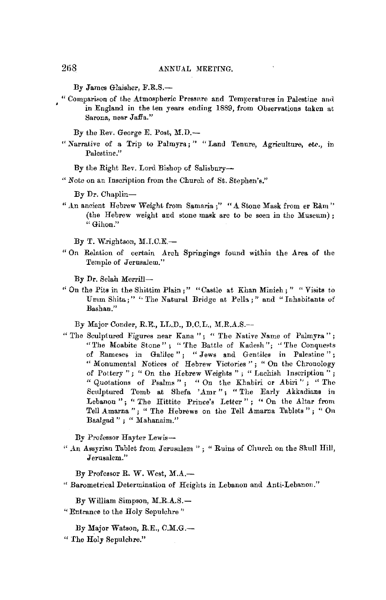By James Glaisher, F.R.S.-

"Comparison of the Atmospheric Pressure and Temperatures in Palestine and in England in the ten years ending 1889, from Observations taken at Sarona, near Jaffa."

By the Rev. George E. Post, M.D.-

"Narrative of a Trip to Palmyra; " "Land Tenure, Agriculture, etc., in Palestine."

By the Right Rev. Lord Bishop of Salisbury-

"Note on an Inscription from the Church of St. Stephen's."

By Dr. Chaplin-

" An ancient Hebrew Weight from Samaria ;" " A Stone Mask from er Râm" (the Hebrew weight and stone mask are to be seen in the Museum); "Gihon."

By T. Wrightson, M.I.C.E.-

"On Relation of certain Arch Springings found within the Area of the Temple of Jerusalem."

By Dr. Selah Merrill-

"On the Pits in the Shittim Plain;" "Castle at Khan Minich;" "Visits to Umm Shita:" "The Natural Bridge at Pells:" and "Inhabitants of Bashan."

By Major Conder, R.E., LL.D., D.C.L., M.R.A.S .--

"The Sculptured Figures near Kana"; "The Native Name of Palmyra"; "The Moabite Stone"; "The Battle of Kadesh"; "The Conquests of Rameses in Galilee"; "Jews and Gentiles in Palestine"; "Monumental Notices of Hebrew Victories"; "On the Chronology of Pottery"; "On the Hebrew Weights"; "Lachish Inscription"; "Quotations of Psalms"; "On the Khabiri or Abiri"; "The Sculptured Tomb at Shefa 'Amr"; "The Early Akkadians in Lebanon"; "The Hittite Prince's Letter"; "On the Altar from Tell Amarna"; " The Hebrews on the Tell Amarna Tablets"; " On Baalgad"; "Mahanaim."

By Professor Hayter Lewis-

" An Assyrian Tablet from Jerusalem "; " Ruins of Church on the Skull Hill, Jerusalem."

By Professor R. W. West, M.A.-

" Barometrical Determination of Heights in Lebanon and Anti-Lebanon."

By William Simpson, M.R.A.S.-

- "Entrance to the Holy Sepulchre"
	- By Major Watson, R.E., C.M.G.-
- " The Holy Sepulchre."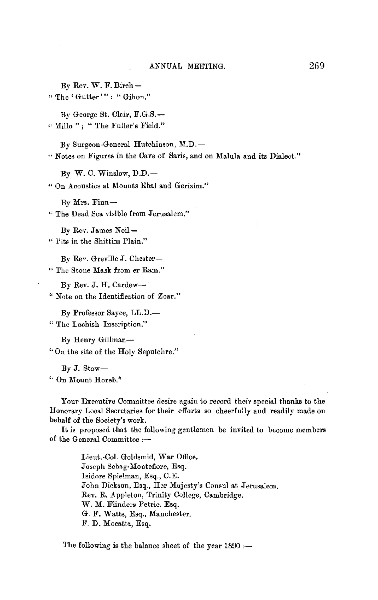By Rev. W. F. Birch-"The 'Gutter'": "Gihon."

By George St. Clair, F.G.S.-" Millo ": " The Fuller's Field."

By Surgeon General Hutchinson, M.D. --" Notes on Figures in the Cave of Saris, and on Malula and its Dialect."

 $By W. C. Winslow, D.D.$ 

" On Acoustics at Mounts Ebal and Gerizim."

By Mrs. Finn-

"The Dead Sea visible from Jerusalem."

By Rev. James Neil-" Pits in the Shittim Plain."

By Rev. Greville J. Chester-"The Stone Mask from er Ram."

By Rev. J. H. Cardew-

" Note on the Identification of Zoar."

By Professor Sayce, LL.D.-"The Lachish Inscription."

By Henry Gillman-"On the site of the Holy Sepulchre."

 $By J. Stow-$ 

" On Mount Horeb."

Your Executive Committee desire again to record their special thanks to the Honorary Local Secretaries for their efforts so cheerfully and readily made on behalf of the Society's work.

It is proposed that the following gentlemen be invited to become members of the General Committee :-

> Lieut.-Col. Goldsmid, War Office. Joseph Sebag-Montefiore, Esq. Isidore Spielman, Esq., C.E. John Dickson, Esq., Her Majesty's Consul at Jerusalem. Rev. R. Appleton, Trinity College, Cambridge. W. M. Flinders Petrie. Esq. G. F. Watts, Esq., Manchester. F. D. Mocatta, Esq.

The following is the balance sheet of the year 1890 :-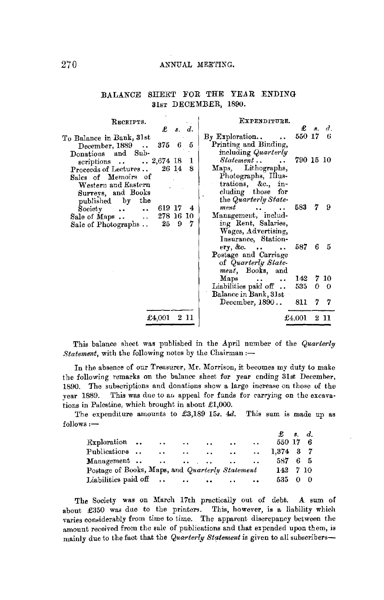### 270 ANNUAL MEETING.

| RECEIPTS.                                                       | EXPENDITURE.                        |                    |            |
|-----------------------------------------------------------------|-------------------------------------|--------------------|------------|
| £<br>s. d.                                                      |                                     | $\pmb{\pounds}$ s. | $d_{\tau}$ |
| To Balance in Bank, 31st                                        | $\rm\,By~Exploration.$ .            | 550 17             | 6          |
| 5<br>3756<br>December, 1889                                     | Printing and Binding,               |                    |            |
| Donations and Sub-                                              | including Quarterly                 |                    |            |
| scriptions 2,674 18<br>1                                        | Statement<br>790 15 10              |                    |            |
| 8<br>Proceeds of Lectures<br>26 14                              | Maps, Lithographs,                  |                    |            |
| Sales of Memoirs of                                             | Photographs, Illus-                 |                    |            |
| Western and Eastern                                             | trations, &c., in-                  |                    |            |
| Surveys, and Books                                              | cluding those for                   |                    |            |
| published by the                                                | the Quarterly State-                |                    |            |
| $\ldots$ 619 17<br>$\rm Society$<br>- 4<br>$\ddot{\phantom{1}}$ | 583<br>ment<br>$\cdots$             | 7.                 | -9         |
| 278 16 10<br>Sale of Maps<br>$\Delta \Delta \sim 1$             | Management, includ-                 |                    |            |
| 7<br>9<br>25<br>Sale of Photographs                             | ing Rent, Salaries,                 |                    |            |
|                                                                 | Wages, Advertising,                 |                    |            |
|                                                                 | Insurance, Station-                 |                    |            |
|                                                                 |                                     | 6                  | -5         |
|                                                                 | Postage and Carriage                |                    |            |
|                                                                 | of Quarterly State-                 |                    |            |
|                                                                 | ment, Books, and                    |                    |            |
|                                                                 | Maps<br>142<br>$\ddot{\phantom{a}}$ |                    | 7 10       |
|                                                                 | Liabilities paid off<br>535         |                    | 0 0        |
|                                                                 | Balance in Bank, 31st               |                    |            |
|                                                                 | December, 1890<br>811               |                    | 77         |
| $\pounds4.001$<br>2 11                                          | $\pounds4.001$                      |                    | $2\;11$    |
|                                                                 |                                     |                    |            |

## BALANCE SHEET FOR THE YEAR ENDING 31ST DECEMBER, 1890.

This balance sheet was published in the April number of the *Quarterly Statement*, with the following notes by the Chairman :-

In the absence of our Treasurer, Mr. Morrison, it becomes my duty Lo make the following remarks on the balance sheet for year ending 31st December, 1890. The subscriptions and donations show a large increase on those of the year 1889. This was due to an appeal for funds for carrying on the excavations in Palestine, which brought in about £1,000.

The expenditure amounts to £3,189 15s. 4d. This sum is made up as follows:-

|                                                 |                      |                      |                         |               |               | $\pounds$ s.d.     |    |
|-------------------------------------------------|----------------------|----------------------|-------------------------|---------------|---------------|--------------------|----|
| Exploration.                                    | $\cdot$ $\cdot$      | $\cdots$             | $\ddot{\phantom{0}}$    | $\cdots$      | $\sim$ $\sim$ | 550 17 6           |    |
| Publications                                    | $\ddot{\phantom{a}}$ | $\ddot{\phantom{0}}$ | $\sim 100$ km s $^{-1}$ | $\sim$ $\sim$ |               | $\ldots$ 1,374 3 7 |    |
|                                                 |                      |                      |                         |               |               | 587 -              | 65 |
| Postage of Books, Maps, and Quarterly Statement |                      |                      |                         |               |               | 142 7 10           |    |
|                                                 |                      |                      |                         |               | $\sim$        | 535 0 0            |    |

The Society was on March 17th practically out of debt. A sum of about £350 was due to the printers. This, however, is a liability which varies considerably from time to time. The apparent discrepancy between the amount received from the sale of publications and that expended upon them, is mainly due to the fact that the *Quarterly Statement* is given to all subscribers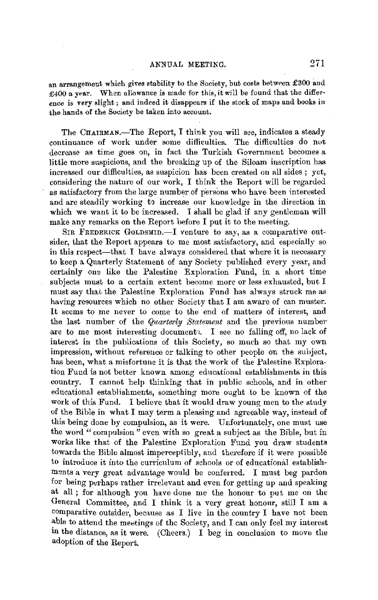an arrangement which gives stability to the Society, but costs between  $£300$  and £400 a year. When allowance is made for this, it will be found that the difference is very slight ; and indeed it disappears if the stock of maps and books in the hands of the Society be taken into account.

The CHAIRMAN.—The Report, I think you will see, indicates a steady continuance of work under some difficulties. The difficulties do not decrease as time goes on, in fact the Turkish Government becomes a little more suspicious, and the breaking up of the Siloam inscription has increased our difficulties, as suspicion has been created on all sides ; yet, considering the nature of our work, I think the Report will be regarded as satisfactory from the large number of persons who have been interested and are steadily working to increase onr knowledge in the direction in which we want it to be increased. I shall be glad if any gentleman will make any remarks on the Report before I put it to the meeting.

SIR FREDERICK GOLDSMID.-I venture to say, as a comparative outsider, that the Report appears to me most satisfactory, and especially so in this respect-that I have always considered that where it is necessary to keep a Quarterly Statement of any Society published every year, and certainly one like the Palestine Exploration Fund, in a short time subjects must to a certain extent become more or less exhausted, but I must say that the Palestine Exploration Fund has always struck me as having resources which no other Society that I am aware of can muster. It seems to me never to come to the end of matters of interest, and the last number of the *Quarterly Statement* and the previous number are to me most interesting document;, I see no falling off, no lack of interest in the publications of this Society, so much so that my own impression, without reference or talking to other people on the subject, has been, what a misfortune it is that the work of the Palestine Exploration Fund is not better known among educational establishments in this country. I cannot help thinking that in public schools, and in other educational establishments, something more ought to be known of the work of this Fund. I believe that it would draw young men to the study of the Bible in what I may term a pleasing and agreeable way, instead of this being done by compulsion, as it were. Unfortunately, one must use the word "compulsion" even with so great a subject as the Bible, but in works like that of the Palestine Exploration Fund you draw students towards the Bible almost imperceptibly, and therefore if it were possible to introduce it into the curriculum of schools or of educational establishments a very great advantage would be conferred. I must beg pardon for being perhaps rather irrelevant and even for getting up and speaking at all ; for although you have done me the honour to put me on the General Committee, and I think it a very great hononr, still I am a comparative outsider, because as I live in the country I have not been able to attend the meetings of the Society, and I can only feel my interest in the distance, as it were. (Cheers.) I beg in conclusion to move the adoption of the Report.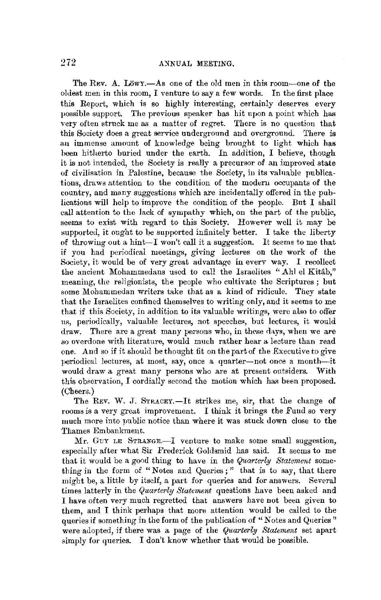The Rev. A. Lowy.—As one of the old men in this room—one of the oldest men in this room, I venture to say a few words. In the first place this Report, which is so highly interesting, certainly deserves every possible support. The previous speaker has hit upon a point which has very often struck me as a matter of regret. There is no question that this Society does a great service underground and overground. There is an immense amount of knowledge being brought to light which has been hitherto buried under the earth. In addition, I believe, though it is not intended, the Society is really a precursor of an improved state of civilisation in Palestine, because the Society, in its valnable publications, draws attention to the condition of the modern occupants of the country, and many suggestions which are incidentally offered in the publications will help to improve the condition of the people. But I shall call attention to the lack of sympathy which, on the part of the public, seems to exist with regard to this Society. However well it may be supported, it ought to be supported infinitely better. I take the liberty of throwing out a hint-I won't call it a suggestion. It seems to me that if you had periodical meetings, giving lectures on the work of the Society, it would be of very great advantage in every way. I recollect the ancient Mohamrnedans used to call the Israelites "Ahl el Kitab," meaning, the religionists, the people who cultivate the Scriptures; but some Mohammedan writers take that as a kind of ridicule. They state that the Israelites confined themselves to writing only, and it seems to me that if this Society, in addition to its valuable writings, were also to offer us, periodically, valuable lectures, not speeches, but lectures, it would draw. There are a great many persons who, in these days, when we are so overdone with literature, would much rather hear a lecture than read one. And so if it should be thought fit on the part of the Executive to give periodical lectures, at most, say, once a quarter-not once a month-it would draw a great many persons who are at present outsiders. With this observation, I cordially second the motion which has been proposed. (Cheers.)

The REV. W. J. STRACEY.-It strikes me, sir, that the change of rooms is a very great improvement. I think it brings the Fund so very much more into public notice than where it was stuck down close to the Thames Embankment.

Mr. GUY LE STRANGE.-I venture to make some small suggestion, especially after what Sir Frederick Goldsmid has said. It seems to me that it would be a g00d thing to have in the *Quarterly Statement* something in the form of "Notes and Queries;" that is to say, that there might be, a little by itself, a part for queries and for answers. Several times latterly in the *Quarterly Statement* questions have been asked and I have often very much regretted that answers have not been given to them, and I think perhaps that more attention would be called to the queries if something in the form of the publication of "Notes and Queries" were adopted, if there was a page of the *Quarterly Statement* set apart simply for queries. I don't know whether that would be possible.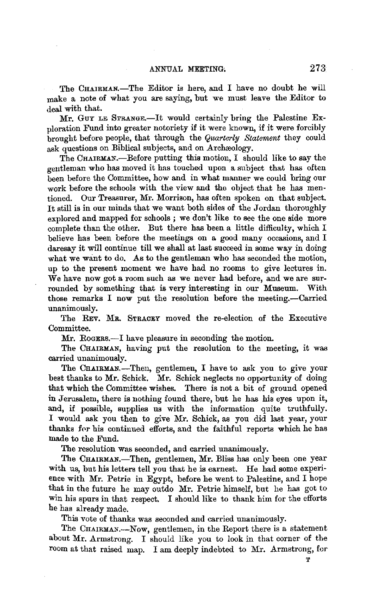The CHAIRMAN.-The Editor is here, and I have no doubt he will make a note of what you are saying, but we must leave the Editor to deal with that.

Mr. GUY LE STRANGE.-It would certainly bring the Palestine Exploration Fund into greater notoriety if it were known, if it were forcibly brought before people, that through the *Quarterly Statement* they could ask questions on Biblical subjects, and on Archaeology.

The CHAIRMAN.--Before putting this motion, I should like to say the gentleman who has moved it has touched upon a subject that has often been before the Committee, how and in what manner we could bring our work before the schools with the view and the object that he has mentioned. Our Treasurer, Mr. Morrison, has often spoken on that subject. It still is in our minds that we want both sides of the Jordan thoroughly explored and mapped for schools ; we don't like to see the one side more complete than the other. But there has been a little difficulty, which I believe has been before the meetings on a good many occasions, and I daresay it will continue till we shall at last succeed in some way in doing what we want to do. As to the gentleman who has seconded the motion, up to the present moment we have had no rooms to give lectures in. We have now got a room such as we never had before, and we are surrounded by something that is very interesting in our Museum. With those remarks I now put the resolution before the meeting.--Carried unanimously.

The REv. MR. STRACEY moved the re-election of the Executive Committee.

Mr. Rogers.--I have pleasure in seconding the motion.

The CHAIRMAN, having put the resolution to the meeting, it was carried unanimously.

The CHAIRMAN.-Then, gentlemen, I have to ask you to give your best thanks to Mr. Schick. Mr. Schick neglects no opportunity of doing that which the Committee wishes. There is not a bit of ground opened in Jerusalem, there is nothing found there, but he has his eyes upon it, and, if possible, supplies us with the information quite truthfully. I would ask you then to give Mr. Schick, as you did last year, your thanks for his continued efforts, and the faithful reports which he has made to the Fund.

The resolution was seconded, and carried unanimously.

The CHAIRMAN.-Then, gentlemen, Mr. Bliss has only been one year with us, but his letters tell you that he is earnest. He had some experience with Mr. Petrie in Egypt, before he went to Palestine, and I hope that in the future he may outdo Mr. Petrie himself, but he has got to win his spurs in that respect. I should like to thank him for the efforts he has already made.

This vote of thanks was seconded **and** carried unanimously.

The CHAIRMAN.-Now, gentlemen, in the Report there is a statement about Mr. Armstrong. I should like you to look in that corner of the room at that raised map. I am deeply indebted to Mr. Armstrong, for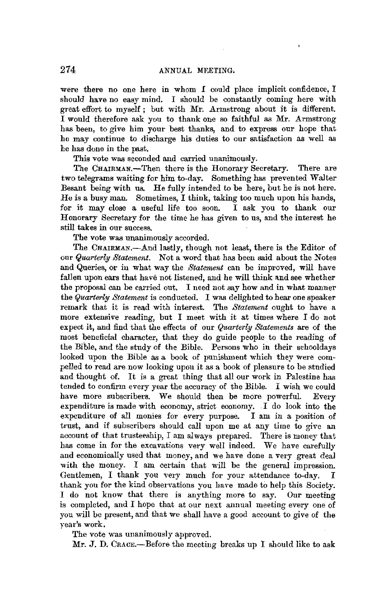were there no one here in whom *I* could place implicit confidence, I should have no easy mind. I should be constantly coming here with great effort to myself ; but with Mr. Armstrong about it is different. I would therefore ask you to thank one so faithful as Mr. Armstrong has been, to *give* him your best thanks, and to express our hope that he may continue to discharge his duties to our satisfaction as well as he has done in the past.

This vote was seconded and carried unanimously.

The CHAIRMAN.-Then there is the Honorary Secretary. There are two telegrams waiting for him to-day. Something has prevented Walter Besant being with us. He fully intended to be here, but he is not here. He is a busy man. Sometimes, I think, taking too much upon his hands, for it may close a useful life too soon. I ask you to thank our Honorary Secretary for the time he has *given* to us, and the interest he still takes in our success.

The vote was unanimously accorded.

The CHAIRMAN.-And lastly, though not least, there is the Editor of our *Quarterly Statement.* Not a word that has been said about the Notes and Queries, or in what way the *Statement* can be improved, will have fallen upon ears that have not listened, and he will think and see whether the proposal can be carried out. I need not say how and in what manner the *Quarterly Statement* is conducted. I was delighted to hear one speaker remark that it is read with interest. The *Statement* ought to have a more extensive reading, but I meet with it at times where I do not expect it, and find that the effects of our *Quarterly Statements* are of the most beneficial character, that they do guide people to the reading of the Bible, and the study of the Bible. Persons who in their schooldays looked upon the Bible as a book of punishment which they were compelled to read are now looking upon it as a book of pleasure to be studied and thought of. It is a great thing that all our work in Palestine has tended to confirm every year the accuracy of the Bible. I wish we could have more subscribers. We should then be more powerful. Every expenditure is made with economy, strict economy. I do look into the expenditure of all monies for every purpose. I am in a position of trust, and if subscribers should call upon me at any time to *give* an account of that trusteeship, I am always prepared. There is money that has come in for the excavations very well indeed. We have carefully and economically used that money, and we have done a very great deal with the money. I am certain that will be the general impression. Gentlemen, I thank you very much for your attendance to-day. I thank you for the kind observations you have made to help this Society. I do not know that there is anything more to say. Our meeting is completed, and I hope that at our next annual meeting every one of you will be present, and that we shall have a good account to *give* of the year's work.

The vote was unanimously approved.

 $Mr. J. D. Crace. - Before the meeting breaks up I should like to ask$